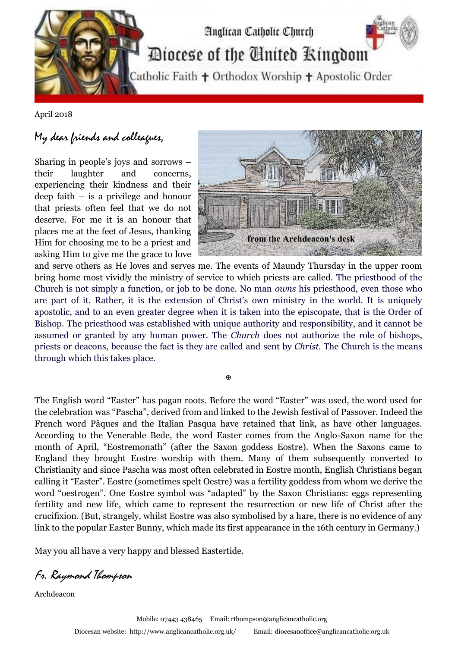

April 2018

## My dear friends and colleagues,

Sharing in people's joys and sorrows – their laughter and concerns, experiencing their kindness and their deep faith – is a privilege and honour that priests often feel that we do not deserve. For me it is an honour that places me at the feet of Jesus, thanking Him for choosing me to be a priest and asking Him to give me the grace to love



and serve others as He loves and serves me. The events of Maundy Thursday in the upper room bring home most vividly the ministry of service to which priests are called. The priesthood of the Church is not simply a function, or job to be done. No man *owns* his priesthood, even those who are part of it. Rather, it is the extension of Christ's own ministry in the world. It is uniquely apostolic, and to an even greater degree when it is taken into the episcopate, that is the Order of Bishop. The priesthood was established with unique authority and responsibility, and it cannot be assumed or granted by any human power. The *Church* does not authorize the role of bishops, priests or deacons, because the fact is they are called and sent by *Christ*. The Church is the means through which this takes place.

Ñ

The English word "Easter" has pagan roots. Before the word "Easter" was used, the word used for the celebration was "Pascha", derived from and linked to the Jewish festival of Passover. Indeed the French word Pâques and the Italian Pasqua have retained that link, as have other languages. According to the Venerable Bede, the word Easter comes from the Anglo-Saxon name for the month of April, "Eostremonath" (after the Saxon goddess Eostre). When the Saxons came to England they brought Eostre worship with them. Many of them subsequently converted to Christianity and since Pascha was most often celebrated in Eostre month, English Christians began calling it "Easter". Eostre (sometimes spelt Oestre) was a fertility goddess from whom we derive the word "oestrogen". One Eostre symbol was "adapted" by the Saxon Christians: eggs representing fertility and new life, which came to represent the resurrection or new life of Christ after the crucifixion. (But, strangely, whilst Eostre was also symbolised by a hare, there is no evidence of any link to the popular Easter Bunny, which made its first appearance in the 16th century in Germany.)

May you all have a very happy and blessed Eastertide.

Fr. Raymond Thompson

Archdeacon